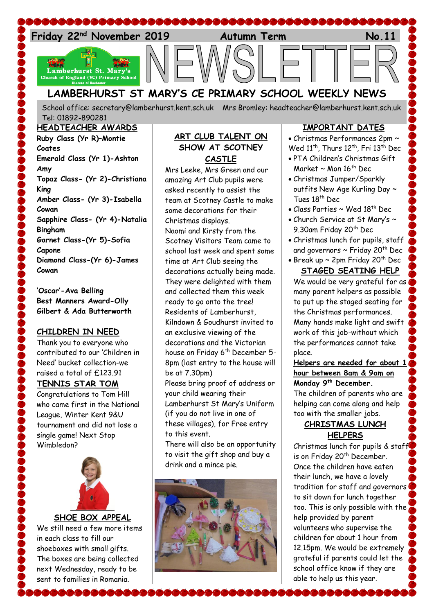

# **LAMBERHURST ST MARY'S CE PRIMARY SCHOOL WEEKLY NEWS**

School office: [secretary@lamberhurst.kent.sch.uk](mailto:secretary@lamberhurst.kent.sch.uk) Mrs Bromley: headteacher@lamberhurst.kent.sch.uk Tel: 01892-890281

#### **HEADTEACHER AWARDS**

**Ruby Class (Yr R)–Montie Coates Emerald Class (Yr 1)-Ashton Amy Topaz Class- (Yr 2)-Christiana King Amber Class- (Yr 3)-Isabella Cowan Sapphire Class- (Yr 4)-Natalia Bingham Garnet Class-(Yr 5)-Sofia Capone Diamond Class-(Yr 6)-James Cowan**

**'Oscar'-Ava Belling Best Manners Award-Olly Gilbert & Ada Butterworth**

### **CHILDREN IN NEED**

Thank you to everyone who contributed to our 'Children in Need' bucket collection-we raised a total of £123.91 **TENNIS STAR TOM** Congratulations to Tom Hill who came first in the National League, Winter Kent 9&U tournament and did not lose a single game! Next Stop Wimbledon?



We still need a few more items in each class to fill our shoeboxes with small gifts. The boxes are being collected next Wednesday, ready to be sent to families in Romania.

**BBBBBBB8** 

### **ART CLUB TALENT ON SHOW AT SCOTNEY CASTLE**

Mrs Leeke, Mrs Green and our amazing Art Club pupils were asked recently to assist the team at Scotney Castle to make some decorations for their Christmas displays. Naomi and Kirsty from the Scotney Visitors Team came to school last week and spent some time at Art Club seeing the decorations actually being made. They were delighted with them and collected them this week ready to go onto the tree! Residents of Lamberhurst, Kilndown & Goudhurst invited to an exclusive viewing of the decorations and the Victorian house on Friday 6<sup>th</sup> December 5-8pm (last entry to the house will be at 7.30pm) Please bring proof of address or your child wearing their Lamberhurst St Mary's Uniform (if you do not live in one of

these villages), for Free entry to this event.

There will also be an opportunity to visit the gift shop and buy a drink and a mince pie.



## **IMPORTANT DATES**

 Christmas Performances 2pm ~ Wed 11<sup>th</sup>, Thurs 12<sup>th</sup>, Fri 13<sup>th</sup> Dec

- PTA Children's Christmas Gift Market ~ Mon 16<sup>th</sup> Dec
- Christmas Jumper/Sparkly outfits New Age Kurling Day ~ Tues 18<sup>th</sup> Dec
- Class Parties  $\sim$  Wed 18<sup>th</sup> Dec
- Church Service at St Mary's ~ 9.30am Friday 20<sup>th</sup> Dec
- Christmas lunch for pupils, staff and governors ~ Friday 20<sup>th</sup> Dec
- $\bullet$  Break up ~ 2pm Friday 20th Dec **STAGED SEATING HELP**

We would be very grateful for as many parent helpers as possible to put up the staged seating for the Christmas performances. Many hands make light and swift work of this job-without which the performances cannot take place.

**Helpers are needed for about 1 hour between 8am & 9am on Monday 9 th December.**

The children of parents who are helping can come along and help too with the smaller jobs.

# **CHRISTMAS LUNCH HELPERS**

Christmas lunch for pupils & staff is on Friday 20<sup>th</sup> December. Once the children have eaten their lunch, we have a lovely tradition for staff and governors to sit down for lunch together too. This is only possible with the help provided by parent volunteers who supervise the children for about 1 hour from 12.15pm. We would be extremely grateful if parents could let the school office know if they are able to help us this year.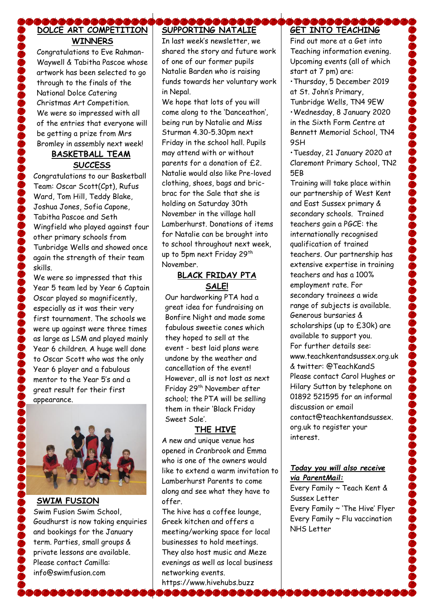### \&&&&&&&&&& **DOLCE ART COMPETITION WINNERS**

Congratulations to Eve Rahman-Waywell & Tabitha Pascoe whose artwork has been selected to go through to the finals of the National Dolce Catering Christmas Art Competition. We were so impressed with all of the entries that everyone will be getting a prize from Mrs Bromley in assembly next week!

# **BASKETBALL TEAM SUCCESS**

Congratulations to our Basketball Team: Oscar Scott(Cpt), Rufus Ward, Tom Hill, Teddy Blake, Joshua Jones, Sofia Capone, Tabitha Pascoe and Seth Wingfield who played against four other primary schools from Tunbridge Wells and showed once again the strength of their team skills.

We were so impressed that this Year 5 team led by Year 6 Captain Oscar played so magnificently, especially as it was their very first tournament. The schools we were up against were three times as large as LSM and played mainly Year 6 children. A huge well done to Oscar Scott who was the only Year 6 player and a fabulous mentor to the Year 5's and a great result for their first appearance.



## **SWIM FUSION**

Swim Fusion Swim School, Goudhurst is now taking enquiries and bookings for the January term. Parties, small groups & private lessons are available. Please contact Camilla: info@swimfusion.com

#### **BBBBBBBB SUPPORTING NATALIE**

In last week's newsletter, we shared the story and future work of one of our former pupils Natalie Barden who is raising funds towards her voluntary work in Nepal.

We hope that lots of you will come along to the 'Danceathon', being run by Natalie and Miss Sturman 4.30-5.30pm next Friday in the school hall. Pupils may attend with or without parents for a donation of £2. Natalie would also like Pre-loved clothing, shoes, bags and bricbrac for the Sale that she is holding on Saturday 30th November in the village hall Lamberhurst. Donations of items for Natalie can be brought into to school throughout next week, up to 5pm next Friday 29<sup>th</sup> November.

## **BLACK FRIDAY PTA SALE!**

Our hardworking PTA had a great idea for fundraising on Bonfire Night and made some fabulous sweetie cones which they hoped to sell at the event - best laid plans were undone by the weather and cancellation of the event! However, all is not lost as next Friday 29<sup>th</sup> November after school; the PTA will be selling them in their 'Black Friday Sweet Sale'.

### **THE HIVE**

A new and unique venue has opened in Cranbrook and Emma who is one of the owners would like to extend a warm invitation to Lamberhurst Parents to come along and see what they have to offer.

The hive has a coffee lounge, Greek kitchen and offers a meeting/working space for local businesses to hold meetings. They also host music and Meze evenings as well as local business networking events.

https://www.hivehubs.buzz **\@@@@@** 

#### **COCOCOCO GET INTO TEACHING**

Find out more at a Get into Teaching information evening. Upcoming events (all of which start at 7 pm) are:

•Thursday, 5 December 2019 at St. John's Primary, Tunbridge Wells, TN4 9EW

•Wednesday, 8 January 2020 in the Sixth Form Centre at Bennett Memorial School, TN4 9SH

•Tuesday, 21 January 2020 at Claremont Primary School, TN2 5EB

Training will take place within our partnership of West Kent and East Sussex primary & secondary schools. Trained teachers gain a PGCE: the internationally recognised qualification of trained teachers. Our partnership has extensive expertise in training teachers and has a 100% employment rate. For secondary trainees a wide range of subjects is available. Generous bursaries & scholarships (up to £30k) are available to support you. For further details see: www.teachkentandsussex.org.uk & twitter: @TeachKandS Please contact Carol Hughes or Hilary Sutton by telephone on 01892 521595 for an informal discussion or email contact@teachkentandsussex. org.uk to register your interest.

## *Today you will also receive via ParentMail:*

Every Family ~ Teach Kent & Sussex Letter Every Family ~ 'The Hive' Flyer Every Family ~ Flu vaccination NHS Letter